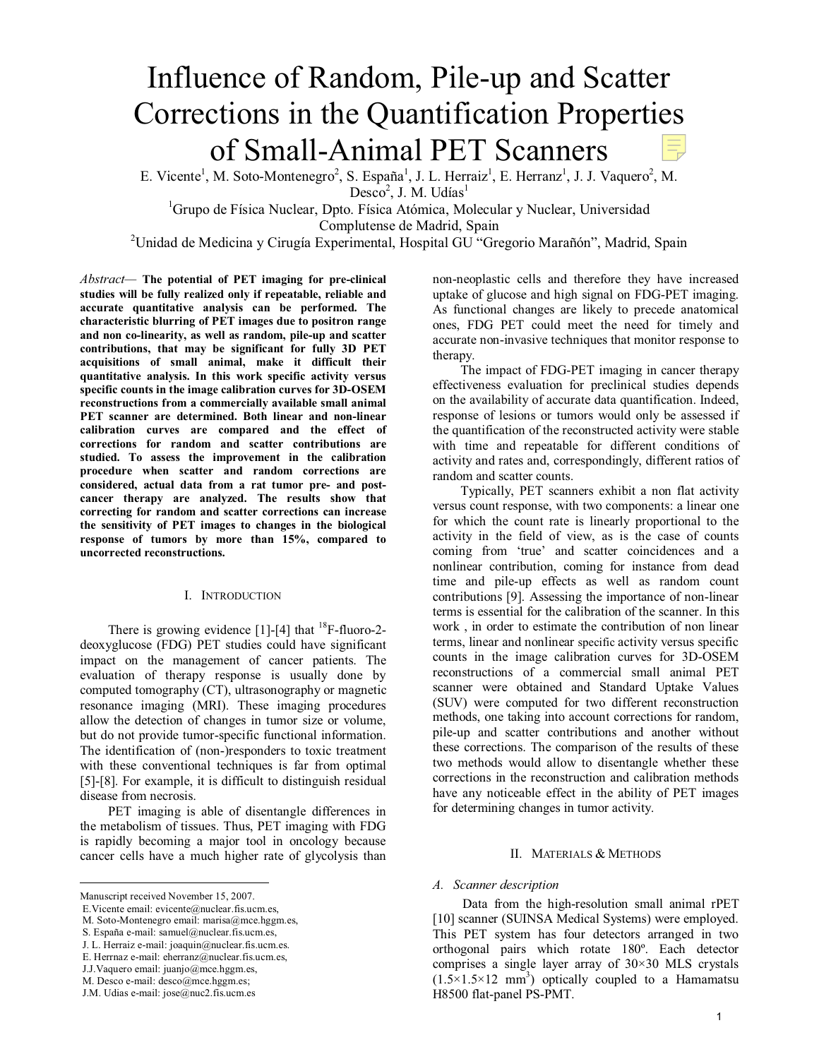# Influence of Random, Pile-up and Scatter Corrections in the Quantification Properties of Small-Animal PET Scanners

E. Vicente<sup>1</sup>, M. Soto-Montenegro<sup>2</sup>, S. España<sup>1</sup>, J. L. Herraiz<sup>1</sup>, E. Herranz<sup>1</sup>, J. J. Vaquero<sup>2</sup>, M.  $Desco<sup>2</sup>, J. M. Udías<sup>1</sup>$ 

<sup>1</sup>Grupo de Física Nuclear, Dpto. Física Atómica, Molecular y Nuclear, Universidad Complutense de Madrid, Spain

<sup>2</sup>Unidad de Medicina y Cirugía Experimental, Hospital GU "Gregorio Marañón", Madrid, Spain

*Abstract—* **The potential of PET imaging for pre-clinical studies will be fully realized only if repeatable, reliable and accurate quantitative analysis can be performed. The characteristic blurring of PET images due to positron range and non co-linearity, as well as random, pile-up and scatter contributions, that may be significant for fully 3D PET acquisitions of small animal, make it difficult their quantitative analysis. In this work specific activity versus specific counts in the image calibration curves for 3D-OSEM reconstructions from a commercially available small animal PET scanner are determined. Both linear and non-linear calibration curves are compared and the effect of corrections for random and scatter contributions are studied. To assess the improvement in the calibration procedure when scatter and random corrections are considered, actual data from a rat tumor pre- and postcancer therapy are analyzed. The results show that correcting for random and scatter corrections can increase the sensitivity of PET images to changes in the biological response of tumors by more than 15%, compared to uncorrected reconstructions.** 

### I. INTRODUCTION

There is growing evidence  $[1]-[4]$  that <sup>18</sup>F-fluoro-2deoxyglucose (FDG) PET studies could have significant impact on the management of cancer patients. The evaluation of therapy response is usually done by computed tomography (CT), ultrasonography or magnetic resonance imaging (MRI). These imaging procedures allow the detection of changes in tumor size or volume, but do not provide tumor-specific functional information. The identification of (non-)responders to toxic treatment with these conventional techniques is far from optimal [5]-[8]. For example, it is difficult to distinguish residual disease from necrosis.

PET imaging is able of disentangle differences in the metabolism of tissues. Thus, PET imaging with FDG is rapidly becoming a major tool in oncology because cancer cells have a much higher rate of glycolysis than

 $\overline{a}$ 

non-neoplastic cells and therefore they have increased uptake of glucose and high signal on FDG-PET imaging. As functional changes are likely to precede anatomical ones, FDG PET could meet the need for timely and accurate non-invasive techniques that monitor response to therapy.

The impact of FDG-PET imaging in cancer therapy effectiveness evaluation for preclinical studies depends on the availability of accurate data quantification. Indeed, response of lesions or tumors would only be assessed if the quantification of the reconstructed activity were stable with time and repeatable for different conditions of activity and rates and, correspondingly, different ratios of random and scatter counts.

Typically, PET scanners exhibit a non flat activity versus count response, with two components: a linear one for which the count rate is linearly proportional to the activity in the field of view, as is the case of counts coming from 'true' and scatter coincidences and a nonlinear contribution, coming for instance from dead time and pile-up effects as well as random count contributions [9]. Assessing the importance of non-linear terms is essential for the calibration of the scanner. In this work , in order to estimate the contribution of non linear terms, linear and nonlinear specific activity versus specific counts in the image calibration curves for 3D-OSEM reconstructions of a commercial small animal PET scanner were obtained and Standard Uptake Values (SUV) were computed for two different reconstruction methods, one taking into account corrections for random, pile-up and scatter contributions and another without these corrections. The comparison of the results of these two methods would allow to disentangle whether these corrections in the reconstruction and calibration methods have any noticeable effect in the ability of PET images for determining changes in tumor activity.

# II. MATERIALS & METHODS

## *A. Scanner description*

Data from the high-resolution small animal rPET [10] scanner (SUINSA Medical Systems) were employed. This PET system has four detectors arranged in two orthogonal pairs which rotate 180º. Each detector comprises a single layer array of 30×30 MLS crystals  $(1.5 \times 1.5 \times 12 \text{ mm}^3)$  optically coupled to a Hamamatsu H8500 flat-panel PS-PMT.

Manuscript received November 15, 2007.

E.Vicente email: evicente@nuclear.fis.ucm.es,

M. Soto-Montenegro email: marisa@mce.hggm.es,

S. España e-mail: samuel@nuclear.fis.ucm.es,

J. L. Herraiz e-mail: joaquin@nuclear.fis.ucm.es.

E. Herrnaz e-mail: eherranz@nuclear.fis.ucm.es,

J.J.Vaquero email: juanjo@mce.hggm.es,

M. Desco e-mail: desco@mce.hggm.es;

J.M. Udias e-mail: jose@nuc2.fis.ucm.es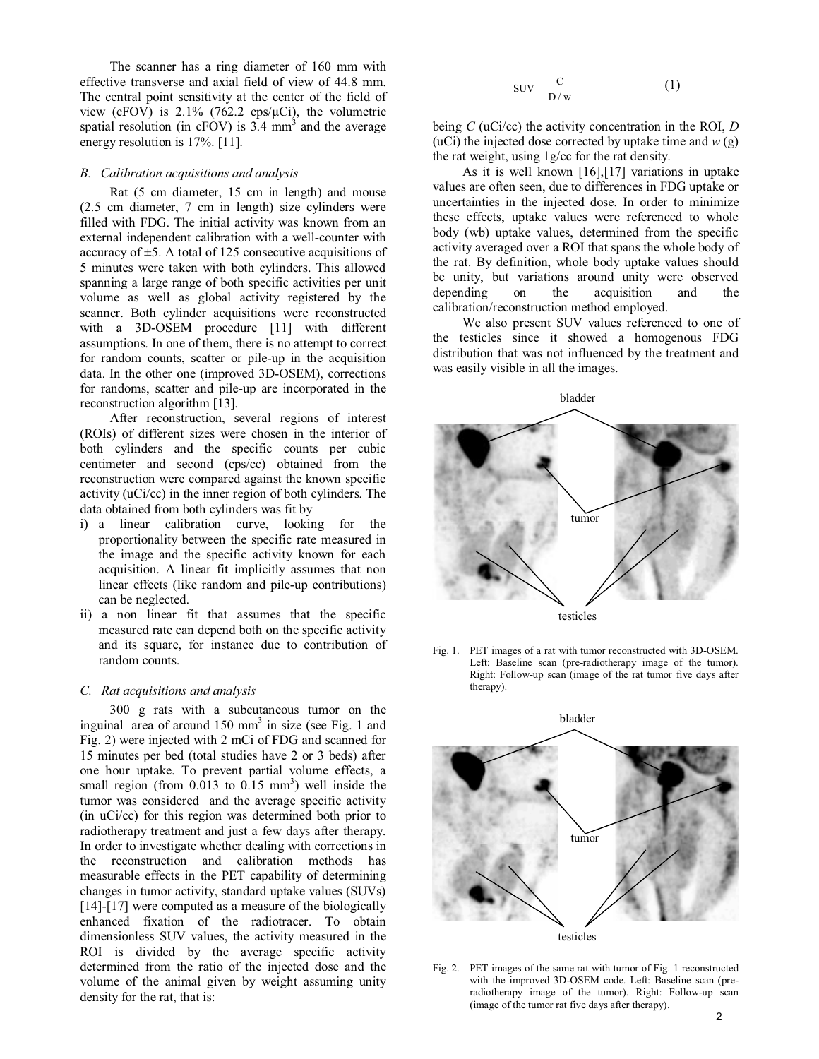The scanner has a ring diameter of 160 mm with effective transverse and axial field of view of 44.8 mm. The central point sensitivity at the center of the field of view (cFOV) is  $2.1\%$  (762.2 cps/ $\mu$ Ci), the volumetric spatial resolution (in cFOV) is  $3.4 \text{ mm}^3$  and the average energy resolution is 17%. [11].

#### *B. Calibration acquisitions and analysis*

Rat (5 cm diameter, 15 cm in length) and mouse (2.5 cm diameter, 7 cm in length) size cylinders were filled with FDG. The initial activity was known from an external independent calibration with a well-counter with accuracy of  $\pm$ 5. A total of 125 consecutive acquisitions of 5 minutes were taken with both cylinders. This allowed spanning a large range of both specific activities per unit volume as well as global activity registered by the scanner. Both cylinder acquisitions were reconstructed with a 3D-OSEM procedure [11] with different assumptions. In one of them, there is no attempt to correct for random counts, scatter or pile-up in the acquisition data. In the other one (improved 3D-OSEM), corrections for randoms, scatter and pile-up are incorporated in the reconstruction algorithm [13].

After reconstruction, several regions of interest (ROIs) of different sizes were chosen in the interior of both cylinders and the specific counts per cubic centimeter and second (cps/cc) obtained from the reconstruction were compared against the known specific activity (uCi/cc) in the inner region of both cylinders. The data obtained from both cylinders was fit by

- i) a linear calibration curve, looking for the proportionality between the specific rate measured in the image and the specific activity known for each acquisition. A linear fit implicitly assumes that non linear effects (like random and pile-up contributions) can be neglected.
- ii) a non linear fit that assumes that the specific measured rate can depend both on the specific activity and its square, for instance due to contribution of random counts.

#### *C. Rat acquisitions and analysis*

300 g rats with a subcutaneous tumor on the inguinal area of around  $150 \text{ mm}^3$  in size (see Fig. 1 and Fig. 2) were injected with 2 mCi of FDG and scanned for 15 minutes per bed (total studies have 2 or 3 beds) after one hour uptake. To prevent partial volume effects, a small region (from  $0.013$  to  $0.15$  mm<sup>3</sup>) well inside the tumor was considered and the average specific activity (in uCi/cc) for this region was determined both prior to radiotherapy treatment and just a few days after therapy. In order to investigate whether dealing with corrections in the reconstruction and calibration methods has measurable effects in the PET capability of determining changes in tumor activity, standard uptake values (SUVs) [14]-[17] were computed as a measure of the biologically enhanced fixation of the radiotracer. To obtain dimensionless SUV values, the activity measured in the ROI is divided by the average specific activity determined from the ratio of the injected dose and the volume of the animal given by weight assuming unity density for the rat, that is:

$$
SUV = \frac{C}{D/w}
$$
 (1)

being *C* (uCi/cc) the activity concentration in the ROI, *D* (uCi) the injected dose corrected by uptake time and  $w(g)$ the rat weight, using 1g/cc for the rat density.

As it is well known [16],[17] variations in uptake values are often seen, due to differences in FDG uptake or uncertainties in the injected dose. In order to minimize these effects, uptake values were referenced to whole body (wb) uptake values, determined from the specific activity averaged over a ROI that spans the whole body of the rat. By definition, whole body uptake values should be unity, but variations around unity were observed depending on the acquisition and the calibration/reconstruction method employed.

We also present SUV values referenced to one of the testicles since it showed a homogenous FDG distribution that was not influenced by the treatment and was easily visible in all the images.



Fig. 1. PET images of a rat with tumor reconstructed with 3D-OSEM. Left: Baseline scan (pre-radiotherapy image of the tumor). Right: Follow-up scan (image of the rat tumor five days after therapy).



Fig. 2. PET images of the same rat with tumor of Fig. 1 reconstructed with the improved 3D-OSEM code. Left: Baseline scan (preradiotherapy image of the tumor). Right: Follow-up scan (image of the tumor rat five days after therapy).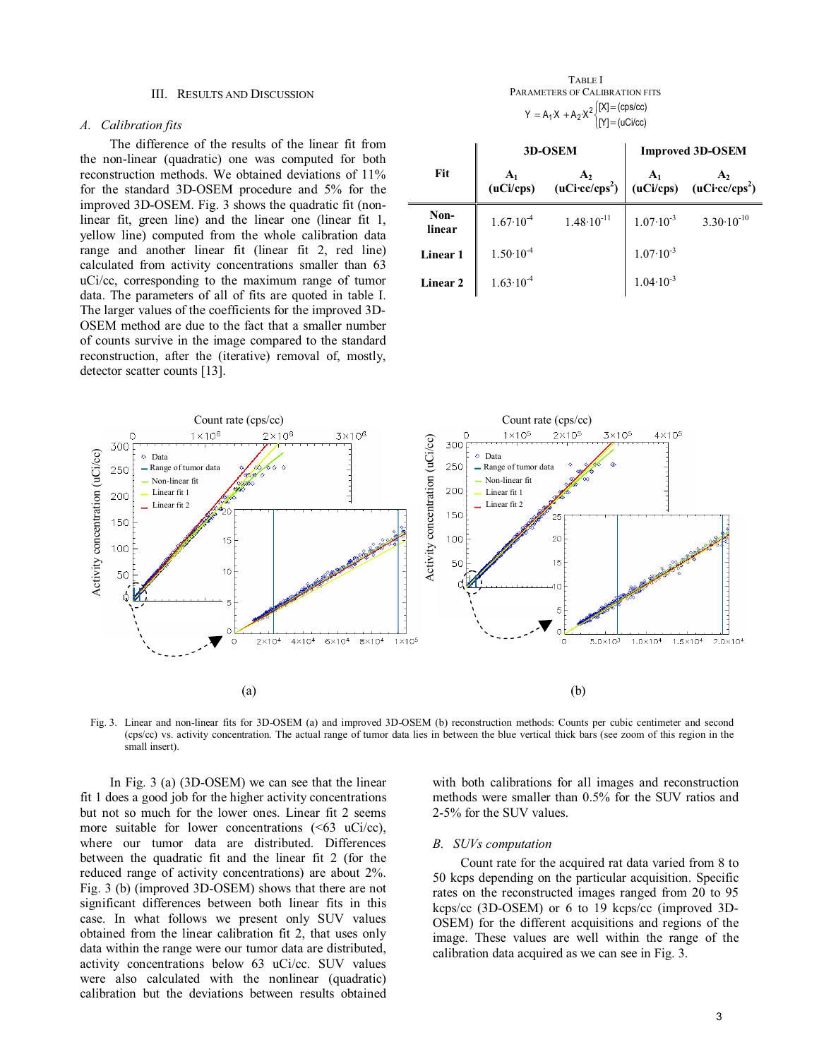#### III. RESULTS AND DISCUSSION

### *A. Calibration fits*

The difference of the results of the linear fit from the non-linear (quadratic) one was computed for both reconstruction methods. We obtained deviations of 11% for the standard 3D-OSEM procedure and 5% for the improved 3D-OSEM. Fig. 3 shows the quadratic fit (nonlinear fit, green line) and the linear one (linear fit 1, yellow line) computed from the whole calibration data range and another linear fit (linear fit 2, red line) calculated from activity concentrations smaller than 63 uCi/cc, corresponding to the maximum range of tumor data. The parameters of all of fits are quoted in table I. The larger values of the coefficients for the improved 3D-OSEM method are due to the fact that a smaller number of counts survive in the image compared to the standard reconstruction, after the (iterative) removal of, mostly, detector scatter counts [13].

TABLE I PARAMETERS OF CALIBRATION FITS  $\begin{pmatrix} 1 \\ 1 \end{pmatrix}$  $Y = A_1 \cdot X + A_2 \cdot X^2 \begin{cases} [X] = (\text{cps/cc}) \\ [Y] = (u\text{Ci/cc}) \end{cases}$ 

|                     |                      | 3D-OSEM                                                                                                                                             | <b>Improved 3D-OSEM</b> |                       |  |  |
|---------------------|----------------------|-----------------------------------------------------------------------------------------------------------------------------------------------------|-------------------------|-----------------------|--|--|
| Fit                 |                      | $\begin{array}{c c}\nA_1 & A_2 \\ (uCi/cps) & (uCicc/cps^2)\n\end{array}$ $\begin{array}{c c}\nA_1 & A_2 \\ (uCi/cps) & (uCicc/cps^2)\n\end{array}$ |                         |                       |  |  |
| Non-<br>linear      | $1.67 \cdot 10^{-4}$ | $1.48 \cdot 10^{-11}$                                                                                                                               | $1.07 \cdot 10^{-3}$    | $3.30 \cdot 10^{-10}$ |  |  |
| Linear 1            | $1.50 \cdot 10^{-4}$ |                                                                                                                                                     | $1.07 \cdot 10^{-3}$    |                       |  |  |
| Linear <sub>2</sub> | $1.63 \cdot 10^{-4}$ |                                                                                                                                                     | $1.04 \cdot 10^{-3}$    |                       |  |  |



Fig. 3. Linear and non-linear fits for 3D-OSEM (a) and improved 3D-OSEM (b) reconstruction methods: Counts per cubic centimeter and second (cps/cc) vs. activity concentration. The actual range of tumor data lies in between the blue vertical thick bars (see zoom of this region in the small insert).

In Fig. 3 (a) (3D-OSEM) we can see that the linear fit 1 does a good job for the higher activity concentrations but not so much for the lower ones. Linear fit 2 seems more suitable for lower concentrations  $( $63$  uCi/cc),$ where our tumor data are distributed. Differences between the quadratic fit and the linear fit 2 (for the reduced range of activity concentrations) are about 2%. Fig. 3 (b) (improved 3D-OSEM) shows that there are not significant differences between both linear fits in this case. In what follows we present only SUV values obtained from the linear calibration fit 2, that uses only data within the range were our tumor data are distributed, activity concentrations below 63 uCi/cc. SUV values were also calculated with the nonlinear (quadratic) calibration but the deviations between results obtained

with both calibrations for all images and reconstruction methods were smaller than 0.5% for the SUV ratios and 2-5% for the SUV values.

### *B. SUVs computation*

Count rate for the acquired rat data varied from 8 to 50 kcps depending on the particular acquisition. Specific rates on the reconstructed images ranged from 20 to 95 kcps/cc (3D-OSEM) or 6 to 19 kcps/cc (improved 3D-OSEM) for the different acquisitions and regions of the image. These values are well within the range of the calibration data acquired as we can see in Fig. 3.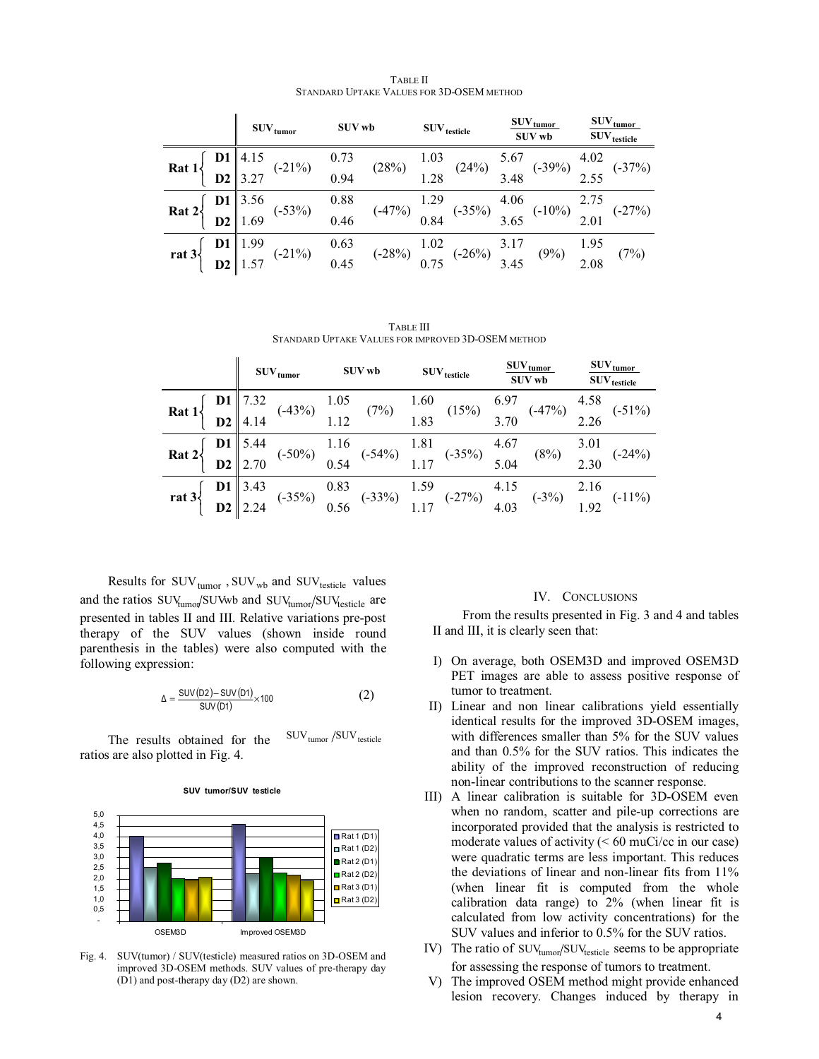|                                                                                                                                                                                                                                                                                                                                             | $\text{SUV}_{\text{tumor}}$ | <b>SUV wb</b> | $\rm{SUV}_{\rm{testicle}}$                                                                                                                                                                                                                    | $\text{SUV}_{\text{tumor}}$<br><b>SUV wb</b> | $\text{SUV}_{\text{tumor}}$<br>$\mathrm{SUV}_{\mathrm{testicle}}$ |
|---------------------------------------------------------------------------------------------------------------------------------------------------------------------------------------------------------------------------------------------------------------------------------------------------------------------------------------------|-----------------------------|---------------|-----------------------------------------------------------------------------------------------------------------------------------------------------------------------------------------------------------------------------------------------|----------------------------------------------|-------------------------------------------------------------------|
| <b>Rat</b> 1 $\left\{\n\begin{array}{ccc}\n\mathbf{D1} & 4.15 \\ \mathbf{D2} & 3.27\n\end{array}\n\right.$ (-21%) $\begin{array}{ccc}\n0.73 \\ 0.94\n\end{array}$ (28%) $\begin{array}{ccc}\n1.03 \\ 1.28\n\end{array}$ (24%) $\begin{array}{ccc}\n5.67 \\ 3.48\n\end{array}$ (-39%) $\begin{array}{ccc}\n4.02 \\ 2.55\n\end{array}$ (-37%) |                             |               |                                                                                                                                                                                                                                               |                                              |                                                                   |
|                                                                                                                                                                                                                                                                                                                                             |                             |               |                                                                                                                                                                                                                                               |                                              |                                                                   |
| <b>Rat</b> $2\begin{cases} 1 & 3.56 \\ 0 & 2 \end{cases}$ (-53%) $\begin{cases} 0.88 \\ 0.46 \end{cases}$ (-47%) $\begin{cases} 1.29 \\ 0.84 \end{cases}$ (-35%) $\begin{cases} 4.06 \\ 3.65 \end{cases}$ (-10%) $\begin{cases} 2.75 \\ 2.01 \end{cases}$ (-27%)                                                                            |                             |               |                                                                                                                                                                                                                                               |                                              |                                                                   |
|                                                                                                                                                                                                                                                                                                                                             |                             |               |                                                                                                                                                                                                                                               |                                              |                                                                   |
|                                                                                                                                                                                                                                                                                                                                             |                             |               | rat 3 $\begin{cases} 101 \ 1.99 \ 1.57 \end{cases}$ (-21%) $\begin{cases} 0.63 \ 0.45 \end{cases}$ (-28%) $\begin{cases} 1.02 \ 0.75 \end{cases}$ (-26%) $\begin{cases} 3.17 \ 3.45 \end{cases}$ (9%) $\begin{cases} 1.95 \ 2.08 \end{cases}$ |                                              | (7%)                                                              |
|                                                                                                                                                                                                                                                                                                                                             |                             |               |                                                                                                                                                                                                                                               |                                              |                                                                   |

TABLE II STANDARD UPTAKE VALUES FOR 3D-OSEM METHOD

TABLE III STANDARD UPTAKE VALUES FOR IMPROVED 3D-OSEM METHOD

|  | $\text{SUV}_{\text{tumor}}$ |  | <b>SUV wb</b> |                                                                                                                                                                                                                                            | $\rm{SUV}_{\rm{testicle}}$ |  | $\text{SUV}_{\text{tumor}}$<br>SUV wb |                                                                                                                                                                                                                                                                                                                      | $\text{SUV}_{\text{tumor}}$<br>$\mathrm{SUV}_{\mathrm{testicle}}$ |  |
|--|-----------------------------|--|---------------|--------------------------------------------------------------------------------------------------------------------------------------------------------------------------------------------------------------------------------------------|----------------------------|--|---------------------------------------|----------------------------------------------------------------------------------------------------------------------------------------------------------------------------------------------------------------------------------------------------------------------------------------------------------------------|-------------------------------------------------------------------|--|
|  |                             |  |               |                                                                                                                                                                                                                                            |                            |  |                                       | <b>Rat</b> 1 $\begin{cases} \n\mathbf{D1} \begin{vmatrix} 7.32 \\ \mathbf{D2} \end{vmatrix}$ (-43%) $\begin{array}{ccc} 1.05 \\ 1.12 \end{array}$ (7%) $\begin{array}{ccc} 1.60 \\ 1.83 \end{array}$ (15%) $\begin{array}{ccc} 6.97 \\ 3.70 \end{array}$ (-47%) $\begin{array}{ccc} 4.58 \\ 2.26 \end{array}$ (-51%) |                                                                   |  |
|  |                             |  |               |                                                                                                                                                                                                                                            |                            |  |                                       |                                                                                                                                                                                                                                                                                                                      |                                                                   |  |
|  |                             |  |               | <b>Rat</b> $2\begin{cases} 1 & 5.44 \ 0 & 2.70 \end{cases}$ (-50%) $\begin{array}{ccc} 1.16 & (-54\%) & 1.81 \ 0.54 & (-54\%) & 1.17 \end{array}$ (-35%) $\begin{array}{ccc} 4.67 & (8\%) & 3.01 \ 5.04 & (8\%) & 2.30 \end{array}$ (-24%) |                            |  |                                       |                                                                                                                                                                                                                                                                                                                      |                                                                   |  |
|  |                             |  |               |                                                                                                                                                                                                                                            |                            |  |                                       |                                                                                                                                                                                                                                                                                                                      |                                                                   |  |
|  |                             |  |               |                                                                                                                                                                                                                                            |                            |  |                                       | rat 3 $\begin{cases} 01 \ 02 \ 2.24 \end{cases}$ (-35%) $\begin{matrix} 0.83 \\ 0.56 \end{matrix}$ (-33%) $\begin{matrix} 1.59 \\ 1.17 \end{matrix}$ (-27%) $\begin{matrix} 4.15 \\ 4.03 \end{matrix}$ (-3%) $\begin{matrix} 2.16 \\ 1.92 \end{matrix}$ (-11%)                                                       |                                                                   |  |
|  |                             |  |               |                                                                                                                                                                                                                                            |                            |  |                                       |                                                                                                                                                                                                                                                                                                                      |                                                                   |  |

Results for  $\text{SUV}_\text{tumor}$ ,  $\text{SUV}_\text{wb}$  and  $\text{SUV}_\text{testicle}$  values and the ratios  $\text{SUV}_{\text{tumor}} / \text{SUV}$  and  $\text{SUV}_{\text{tumor}} / \text{SUV}_{\text{testicle}}$  are presented in tables II and III. Relative variations pre-post therapy of the SUV values (shown inside round parenthesis in the tables) were also computed with the following expression:

$$
\Delta = \frac{\text{SUV}(D2) - \text{SUV}(D1)}{\text{SUV}(D1)} \times 100 \tag{2}
$$

The results obtained for the  $\text{SUV}_{\text{tumor}}$ /SUV<sub>testicle</sub> ratios are also plotted in Fig. 4.



**SUV tumor/SUV testicle**

Fig. 4. SUV(tumor) / SUV(testicle) measured ratios on 3D-OSEM and improved 3D-OSEM methods. SUV values of pre-therapy day (D1) and post-therapy day (D2) are shown.

## IV. CONCLUSIONS

From the results presented in Fig. 3 and 4 and tables II and III, it is clearly seen that:

- I) On average, both OSEM3D and improved OSEM3D PET images are able to assess positive response of tumor to treatment.
- II) Linear and non linear calibrations yield essentially identical results for the improved 3D-OSEM images, with differences smaller than 5% for the SUV values and than 0.5% for the SUV ratios. This indicates the ability of the improved reconstruction of reducing non-linear contributions to the scanner response.
- III) A linear calibration is suitable for 3D-OSEM even when no random, scatter and pile-up corrections are incorporated provided that the analysis is restricted to moderate values of activity  $(< 60$  muCi/cc in our case) were quadratic terms are less important. This reduces the deviations of linear and non-linear fits from 11% (when linear fit is computed from the whole calibration data range) to 2% (when linear fit is calculated from low activity concentrations) for the SUV values and inferior to 0.5% for the SUV ratios.
- IV) The ratio of  $\text{SUV}_{\text{tumor}} / \text{SUV}_{\text{testicle}}$  seems to be appropriate for assessing the response of tumors to treatment.
- V) The improved OSEM method might provide enhanced lesion recovery. Changes induced by therapy in